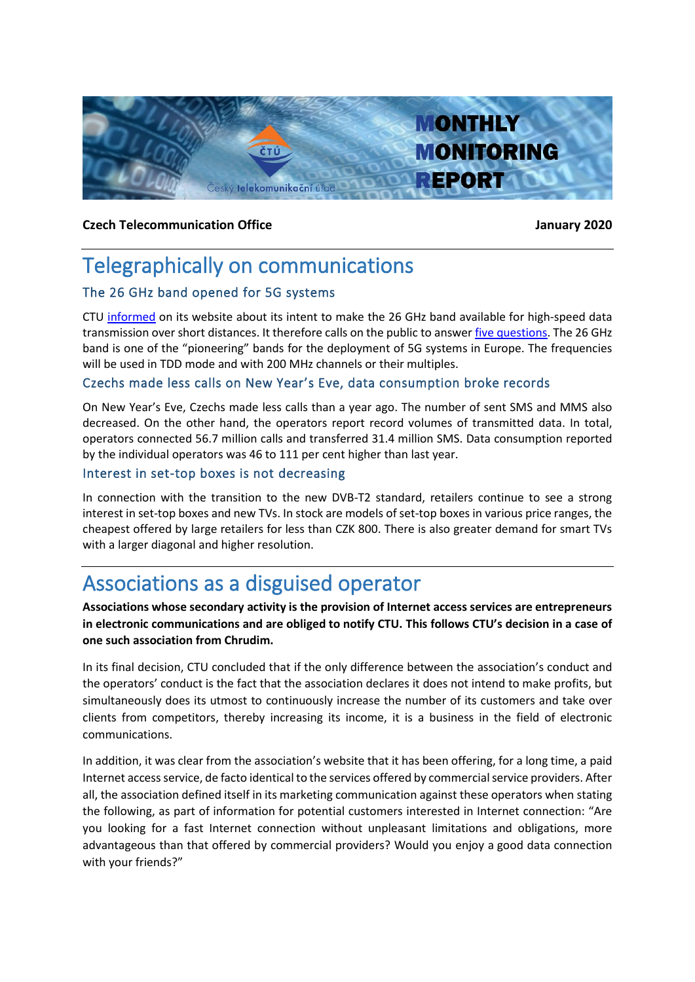

### **Czech Telecommunication Office January 2020**

# Telegraphically on communications

## The 26 GHz band opened for 5G systems

CTU [informed](https://www.ctu.cz/sdeleni-o-zameru-zpristupneni-pasma-26-ghz) on its website about its intent to make the 26 GHz band available for high-speed data transmission over short distances. It therefore calls on the public to answer [five questions.](https://www.ctu.cz/sites/default/files/obsah/ctu/sdeleni-o-zameru-zpristupneni-pasma-26-ghz/obrazky/informaceozameruzpristupnenipasma26ghzpodpis.pdf) The 26 GHz band is one of the "pioneering" bands for the deployment of 5G systems in Europe. The frequencies will be used in TDD mode and with 200 MHz channels or their multiples.

### Czechs made less calls on New Year's Eve, data consumption broke records

On New Year's Eve, Czechs made less calls than a year ago. The number of sent SMS and MMS also decreased. On the other hand, the operators report record volumes of transmitted data. In total, operators connected 56.7 million calls and transferred 31.4 million SMS. Data consumption reported by the individual operators was 46 to 111 per cent higher than last year.

#### Interest in set-top boxes is not decreasing

In connection with the transition to the new DVB-T2 standard, retailers continue to see a strong interest in set-top boxes and new TVs. In stock are models of set-top boxes in various price ranges, the cheapest offered by large retailers for less than CZK 800. There is also greater demand for smart TVs with a larger diagonal and higher resolution.

# Associations as a disguised operator

**Associations whose secondary activity is the provision of Internet access services are entrepreneurs in electronic communications and are obliged to notify CTU. This follows CTU's decision in a case of one such association from Chrudim.**

In its final decision, CTU concluded that if the only difference between the association's conduct and the operators' conduct is the fact that the association declares it does not intend to make profits, but simultaneously does its utmost to continuously increase the number of its customers and take over clients from competitors, thereby increasing its income, it is a business in the field of electronic communications.

In addition, it was clear from the association's website that it has been offering, for a long time, a paid Internet access service, de facto identical to the services offered by commercial service providers. After all, the association defined itself in its marketing communication against these operators when stating the following, as part of information for potential customers interested in Internet connection: "Are you looking for a fast Internet connection without unpleasant limitations and obligations, more advantageous than that offered by commercial providers? Would you enjoy a good data connection with your friends?"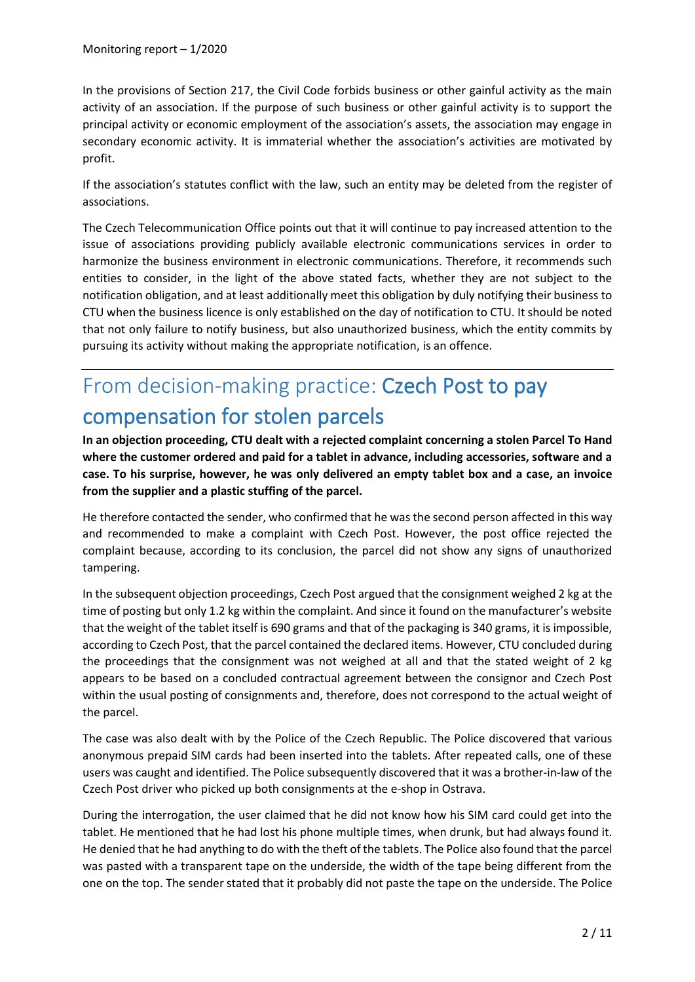In the provisions of Section 217, the Civil Code forbids business or other gainful activity as the main activity of an association. If the purpose of such business or other gainful activity is to support the principal activity or economic employment of the association's assets, the association may engage in secondary economic activity. It is immaterial whether the association's activities are motivated by profit.

If the association's statutes conflict with the law, such an entity may be deleted from the register of associations.

The Czech Telecommunication Office points out that it will continue to pay increased attention to the issue of associations providing publicly available electronic communications services in order to harmonize the business environment in electronic communications. Therefore, it recommends such entities to consider, in the light of the above stated facts, whether they are not subject to the notification obligation, and at least additionally meet this obligation by duly notifying their business to CTU when the business licence is only established on the day of notification to CTU. It should be noted that not only failure to notify business, but also unauthorized business, which the entity commits by pursuing its activity without making the appropriate notification, is an offence.

# From decision-making practice: Czech Post to pay compensation for stolen parcels

**In an objection proceeding, CTU dealt with a rejected complaint concerning a stolen Parcel To Hand where the customer ordered and paid for a tablet in advance, including accessories, software and a case. To his surprise, however, he was only delivered an empty tablet box and a case, an invoice from the supplier and a plastic stuffing of the parcel.**

He therefore contacted the sender, who confirmed that he was the second person affected in this way and recommended to make a complaint with Czech Post. However, the post office rejected the complaint because, according to its conclusion, the parcel did not show any signs of unauthorized tampering.

In the subsequent objection proceedings, Czech Post argued that the consignment weighed 2 kg at the time of posting but only 1.2 kg within the complaint. And since it found on the manufacturer's website that the weight of the tablet itself is 690 grams and that of the packaging is 340 grams, it is impossible, according to Czech Post, that the parcel contained the declared items. However, CTU concluded during the proceedings that the consignment was not weighed at all and that the stated weight of 2 kg appears to be based on a concluded contractual agreement between the consignor and Czech Post within the usual posting of consignments and, therefore, does not correspond to the actual weight of the parcel.

The case was also dealt with by the Police of the Czech Republic. The Police discovered that various anonymous prepaid SIM cards had been inserted into the tablets. After repeated calls, one of these users was caught and identified. The Police subsequently discovered that it was a brother-in-law of the Czech Post driver who picked up both consignments at the e-shop in Ostrava.

During the interrogation, the user claimed that he did not know how his SIM card could get into the tablet. He mentioned that he had lost his phone multiple times, when drunk, but had always found it. He denied that he had anything to do with the theft of the tablets. The Police also found that the parcel was pasted with a transparent tape on the underside, the width of the tape being different from the one on the top. The sender stated that it probably did not paste the tape on the underside. The Police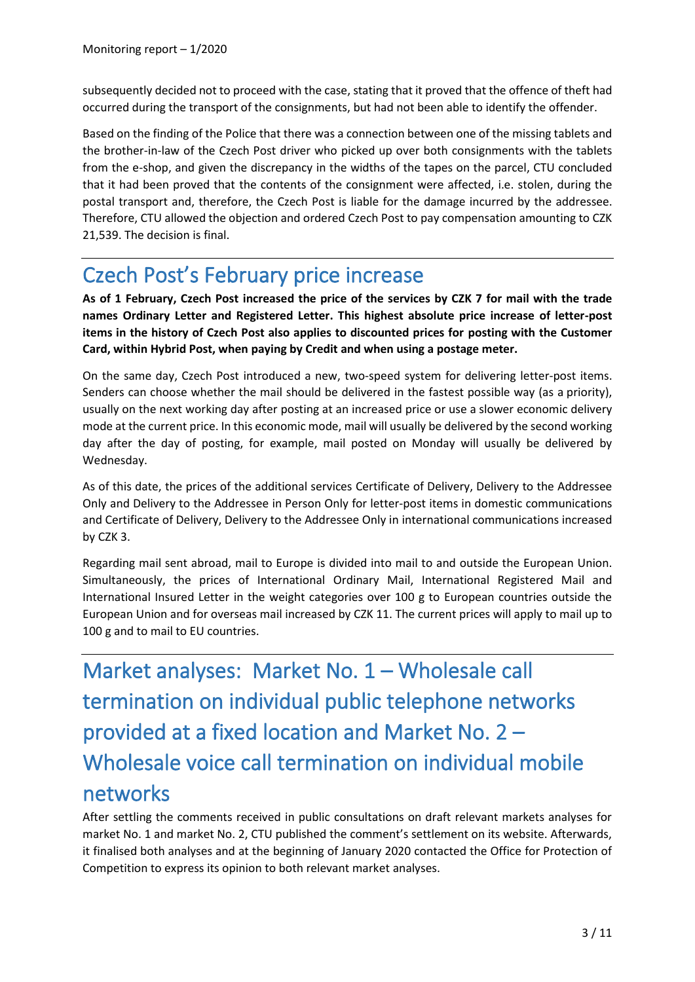subsequently decided not to proceed with the case, stating that it proved that the offence of theft had occurred during the transport of the consignments, but had not been able to identify the offender.

Based on the finding of the Police that there was a connection between one of the missing tablets and the brother-in-law of the Czech Post driver who picked up over both consignments with the tablets from the e-shop, and given the discrepancy in the widths of the tapes on the parcel, CTU concluded that it had been proved that the contents of the consignment were affected, i.e. stolen, during the postal transport and, therefore, the Czech Post is liable for the damage incurred by the addressee. Therefore, CTU allowed the objection and ordered Czech Post to pay compensation amounting to CZK 21,539. The decision is final.

# Czech Post's February price increase

**As of 1 February, Czech Post increased the price of the services by CZK 7 for mail with the trade names Ordinary Letter and Registered Letter. This highest absolute price increase of letter-post items in the history of Czech Post also applies to discounted prices for posting with the Customer Card, within Hybrid Post, when paying by Credit and when using a postage meter.**

On the same day, Czech Post introduced a new, two-speed system for delivering letter-post items. Senders can choose whether the mail should be delivered in the fastest possible way (as a priority), usually on the next working day after posting at an increased price or use a slower economic delivery mode at the current price. In this economic mode, mail will usually be delivered by the second working day after the day of posting, for example, mail posted on Monday will usually be delivered by Wednesday.

As of this date, the prices of the additional services Certificate of Delivery, Delivery to the Addressee Only and Delivery to the Addressee in Person Only for letter-post items in domestic communications and Certificate of Delivery, Delivery to the Addressee Only in international communications increased by CZK 3.

Regarding mail sent abroad, mail to Europe is divided into mail to and outside the European Union. Simultaneously, the prices of International Ordinary Mail, International Registered Mail and International Insured Letter in the weight categories over 100 g to European countries outside the European Union and for overseas mail increased by CZK 11. The current prices will apply to mail up to 100 g and to mail to EU countries.

Market analyses: Market No. 1 – Wholesale call termination on individual public telephone networks provided at a fixed location and Market No. 2 – Wholesale voice call termination on individual mobile networks

After settling the comments received in public consultations on draft relevant markets analyses for market No. 1 and market No. 2, CTU published the comment's settlement on its website. Afterwards, it finalised both analyses and at the beginning of January 2020 contacted the Office for Protection of Competition to express its opinion to both relevant market analyses.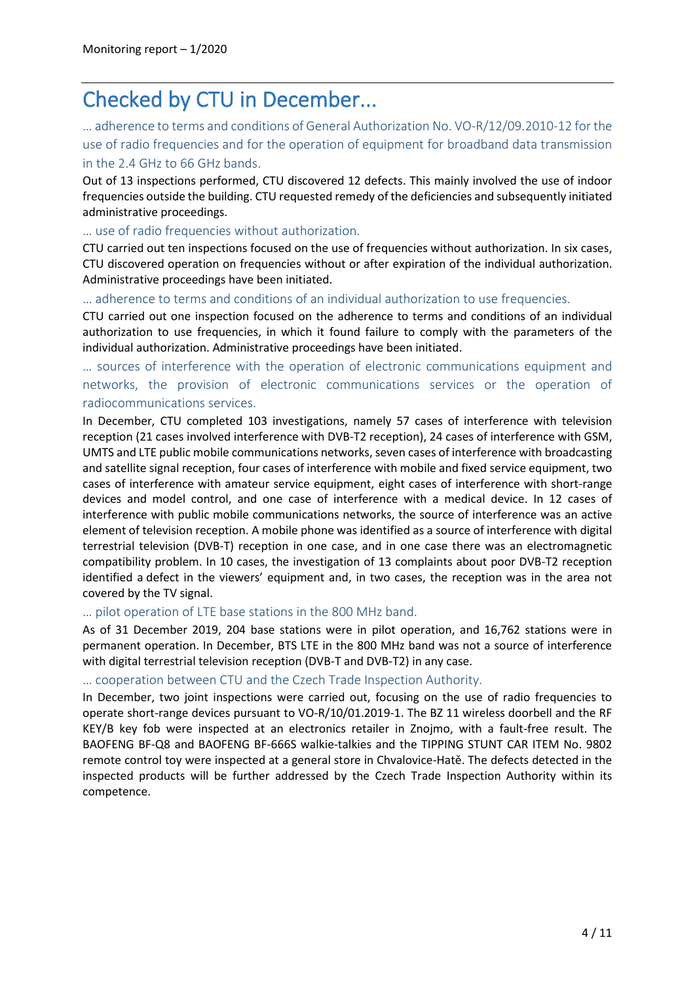# Checked by CTU in December...

… adherence to terms and conditions of General Authorization No. VO-R/12/09.2010-12 for the use of radio frequencies and for the operation of equipment for broadband data transmission in the 2.4 GHz to 66 GHz bands.

Out of 13 inspections performed, CTU discovered 12 defects. This mainly involved the use of indoor frequencies outside the building. CTU requested remedy of the deficiencies and subsequently initiated administrative proceedings.

#### … use of radio frequencies without authorization.

CTU carried out ten inspections focused on the use of frequencies without authorization. In six cases, CTU discovered operation on frequencies without or after expiration of the individual authorization. Administrative proceedings have been initiated.

… adherence to terms and conditions of an individual authorization to use frequencies.

CTU carried out one inspection focused on the adherence to terms and conditions of an individual authorization to use frequencies, in which it found failure to comply with the parameters of the individual authorization. Administrative proceedings have been initiated.

## … sources of interference with the operation of electronic communications equipment and networks, the provision of electronic communications services or the operation of radiocommunications services.

In December, CTU completed 103 investigations, namely 57 cases of interference with television reception (21 cases involved interference with DVB-T2 reception), 24 cases of interference with GSM, UMTS and LTE public mobile communications networks, seven cases of interference with broadcasting and satellite signal reception, four cases of interference with mobile and fixed service equipment, two cases of interference with amateur service equipment, eight cases of interference with short-range devices and model control, and one case of interference with a medical device. In 12 cases of interference with public mobile communications networks, the source of interference was an active element of television reception. A mobile phone was identified as a source of interference with digital terrestrial television (DVB-T) reception in one case, and in one case there was an electromagnetic compatibility problem. In 10 cases, the investigation of 13 complaints about poor DVB-T2 reception identified a defect in the viewers' equipment and, in two cases, the reception was in the area not covered by the TV signal.

#### … pilot operation of LTE base stations in the 800 MHz band.

As of 31 December 2019, 204 base stations were in pilot operation, and 16,762 stations were in permanent operation. In December, BTS LTE in the 800 MHz band was not a source of interference with digital terrestrial television reception (DVB-T and DVB-T2) in any case.

#### … cooperation between CTU and the Czech Trade Inspection Authority.

In December, two joint inspections were carried out, focusing on the use of radio frequencies to operate short-range devices pursuant to VO-R/10/01.2019-1. The BZ 11 wireless doorbell and the RF KEY/B key fob were inspected at an electronics retailer in Znojmo, with a fault-free result. The BAOFENG BF-Q8 and BAOFENG BF-666S walkie-talkies and the TIPPING STUNT CAR ITEM No. 9802 remote control toy were inspected at a general store in Chvalovice-Hatě. The defects detected in the inspected products will be further addressed by the Czech Trade Inspection Authority within its competence.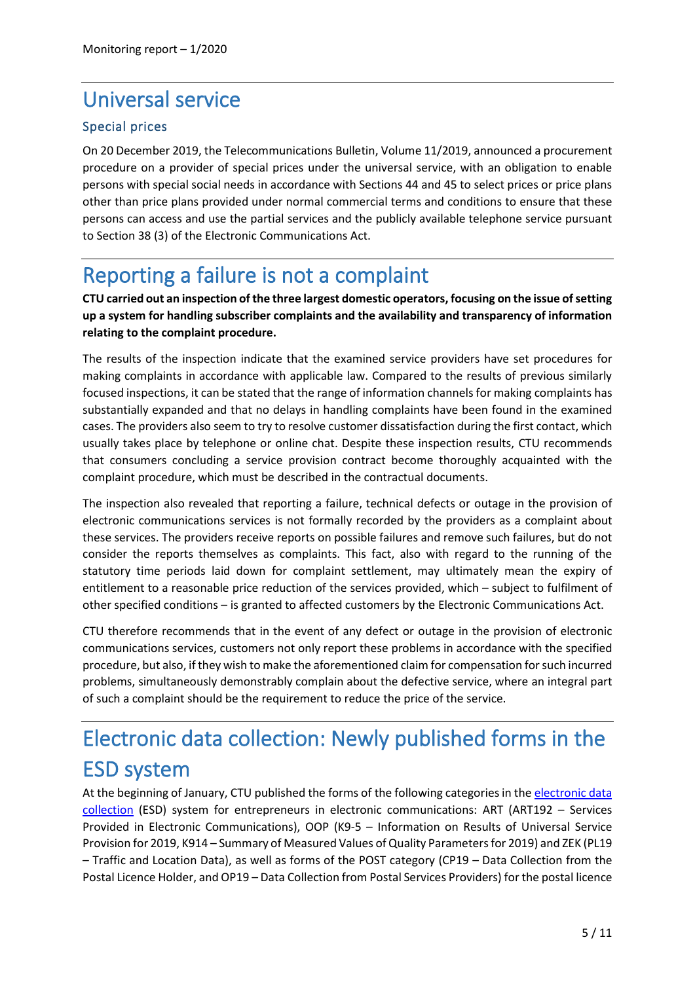# Universal service

## Special prices

On 20 December 2019, the Telecommunications Bulletin, Volume 11/2019, announced a procurement procedure on a provider of special prices under the universal service, with an obligation to enable persons with special social needs in accordance with Sections 44 and 45 to select prices or price plans other than price plans provided under normal commercial terms and conditions to ensure that these persons can access and use the partial services and the publicly available telephone service pursuant to Section 38 (3) of the Electronic Communications Act.

# Reporting a failure is not a complaint

**CTU carried out an inspection of the three largest domestic operators, focusing on the issue of setting up a system for handling subscriber complaints and the availability and transparency of information relating to the complaint procedure.**

The results of the inspection indicate that the examined service providers have set procedures for making complaints in accordance with applicable law. Compared to the results of previous similarly focused inspections, it can be stated that the range of information channels for making complaints has substantially expanded and that no delays in handling complaints have been found in the examined cases. The providers also seem to try to resolve customer dissatisfaction during the first contact, which usually takes place by telephone or online chat. Despite these inspection results, CTU recommends that consumers concluding a service provision contract become thoroughly acquainted with the complaint procedure, which must be described in the contractual documents.

The inspection also revealed that reporting a failure, technical defects or outage in the provision of electronic communications services is not formally recorded by the providers as a complaint about these services. The providers receive reports on possible failures and remove such failures, but do not consider the reports themselves as complaints. This fact, also with regard to the running of the statutory time periods laid down for complaint settlement, may ultimately mean the expiry of entitlement to a reasonable price reduction of the services provided, which – subject to fulfilment of other specified conditions – is granted to affected customers by the Electronic Communications Act.

CTU therefore recommends that in the event of any defect or outage in the provision of electronic communications services, customers not only report these problems in accordance with the specified procedure, but also, if they wish to make the aforementioned claim for compensation for such incurred problems, simultaneously demonstrably complain about the defective service, where an integral part of such a complaint should be the requirement to reduce the price of the service.

# Electronic data collection: Newly published forms in the ESD system

At the beginning of January, CTU published the forms of the following categoriesin the [electronic data](https://monitoringtrhu.ctu.cz/)  [collection](https://monitoringtrhu.ctu.cz/) (ESD) system for entrepreneurs in electronic communications: ART (ART192 – Services Provided in Electronic Communications), OOP (K9-5 – Information on Results of Universal Service Provision for 2019, K914 – Summary of Measured Values of Quality Parameters for 2019) and ZEK (PL19 – Traffic and Location Data), as well as forms of the POST category (CP19 – Data Collection from the Postal Licence Holder, and OP19 – Data Collection from Postal Services Providers) for the postal licence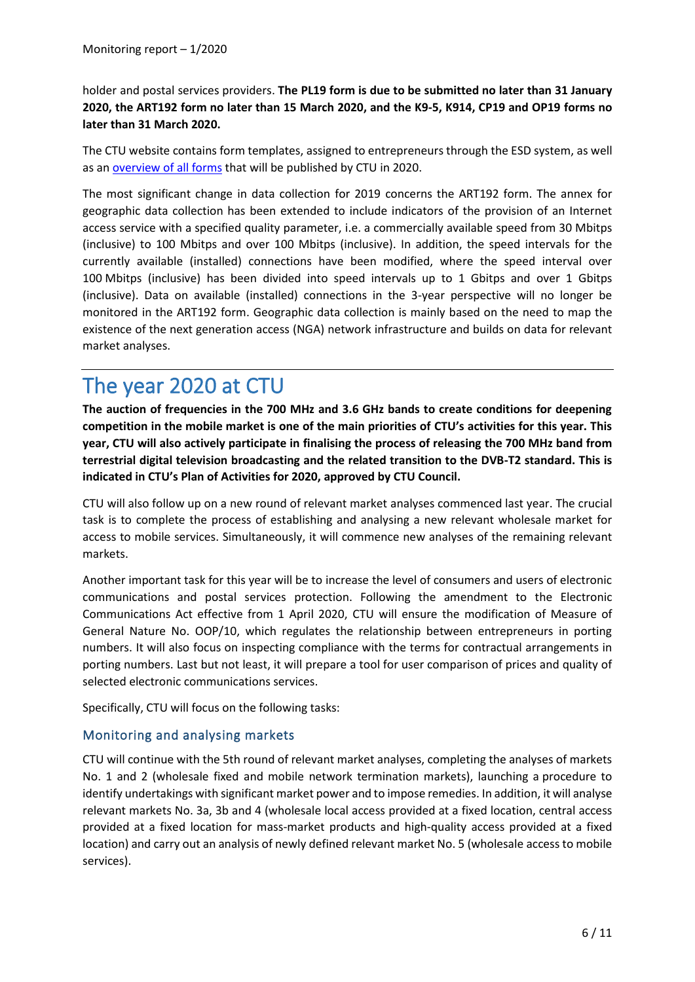holder and postal services providers. **The PL19 form is due to be submitted no later than 31 January 2020, the ART192 form no later than 15 March 2020, and the K9-5, K914, CP19 and OP19 forms no later than 31 March 2020.**

The CTU website contains form templates, assigned to entrepreneurs through the ESD system, as well as a[n overview of all forms](https://www.ctu.cz/sites/default/files/obsah/program_zjistovani_ctu_v_roce_2020.pdf) that will be published by CTU in 2020.

The most significant change in data collection for 2019 concerns the ART192 form. The annex for geographic data collection has been extended to include indicators of the provision of an Internet access service with a specified quality parameter, i.e. a commercially available speed from 30 Mbitps (inclusive) to 100 Mbitps and over 100 Mbitps (inclusive). In addition, the speed intervals for the currently available (installed) connections have been modified, where the speed interval over 100 Mbitps (inclusive) has been divided into speed intervals up to 1 Gbitps and over 1 Gbitps (inclusive). Data on available (installed) connections in the 3-year perspective will no longer be monitored in the ART192 form. Geographic data collection is mainly based on the need to map the existence of the next generation access (NGA) network infrastructure and builds on data for relevant market analyses.

# The year 2020 at CTU

**The auction of frequencies in the 700 MHz and 3.6 GHz bands to create conditions for deepening competition in the mobile market is one of the main priorities of CTU's activities for this year. This year, CTU will also actively participate in finalising the process of releasing the 700 MHz band from terrestrial digital television broadcasting and the related transition to the DVB-T2 standard. This is indicated in CTU's Plan of Activities for 2020, approved by CTU Council.**

CTU will also follow up on a new round of relevant market analyses commenced last year. The crucial task is to complete the process of establishing and analysing a new relevant wholesale market for access to mobile services. Simultaneously, it will commence new analyses of the remaining relevant markets.

Another important task for this year will be to increase the level of consumers and users of electronic communications and postal services protection. Following the amendment to the Electronic Communications Act effective from 1 April 2020, CTU will ensure the modification of Measure of General Nature No. OOP/10, which regulates the relationship between entrepreneurs in porting numbers. It will also focus on inspecting compliance with the terms for contractual arrangements in porting numbers. Last but not least, it will prepare a tool for user comparison of prices and quality of selected electronic communications services.

Specifically, CTU will focus on the following tasks:

### Monitoring and analysing markets

CTU will continue with the 5th round of relevant market analyses, completing the analyses of markets No. 1 and 2 (wholesale fixed and mobile network termination markets), launching a procedure to identify undertakings with significant market power and to impose remedies. In addition, it will analyse relevant markets No. 3a, 3b and 4 (wholesale local access provided at a fixed location, central access provided at a fixed location for mass-market products and high-quality access provided at a fixed location) and carry out an analysis of newly defined relevant market No. 5 (wholesale access to mobile services).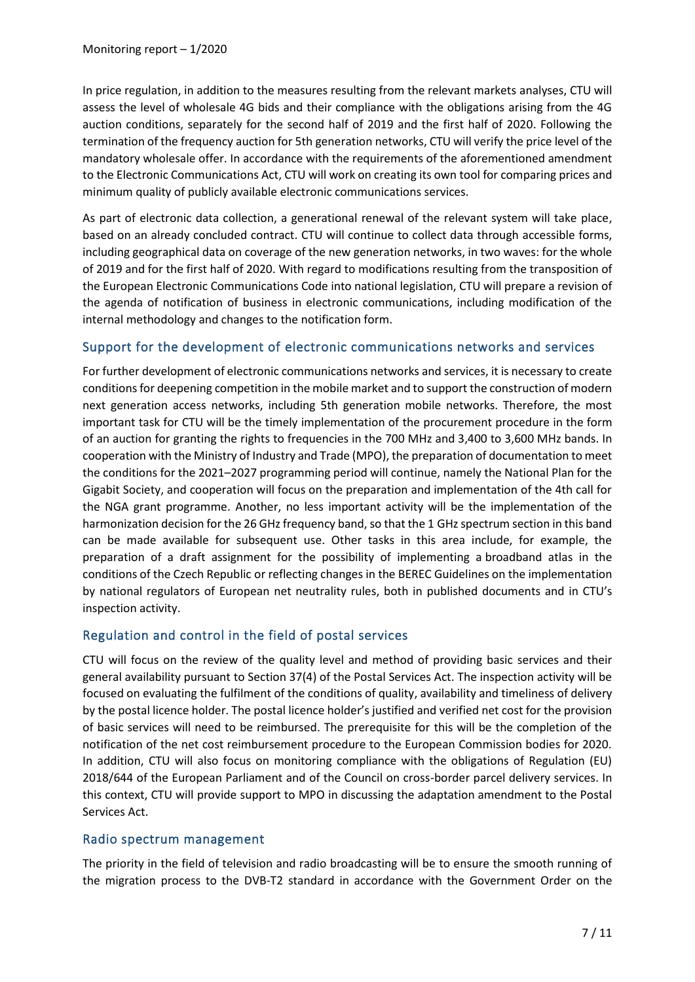In price regulation, in addition to the measures resulting from the relevant markets analyses, CTU will assess the level of wholesale 4G bids and their compliance with the obligations arising from the 4G auction conditions, separately for the second half of 2019 and the first half of 2020. Following the termination of the frequency auction for 5th generation networks, CTU will verify the price level of the mandatory wholesale offer. In accordance with the requirements of the aforementioned amendment to the Electronic Communications Act, CTU will work on creating its own tool for comparing prices and minimum quality of publicly available electronic communications services.

As part of electronic data collection, a generational renewal of the relevant system will take place, based on an already concluded contract. CTU will continue to collect data through accessible forms, including geographical data on coverage of the new generation networks, in two waves: for the whole of 2019 and for the first half of 2020. With regard to modifications resulting from the transposition of the European Electronic Communications Code into national legislation, CTU will prepare a revision of the agenda of notification of business in electronic communications, including modification of the internal methodology and changes to the notification form.

### Support for the development of electronic communications networks and services

For further development of electronic communications networks and services, it is necessary to create conditions for deepening competition in the mobile market and to support the construction of modern next generation access networks, including 5th generation mobile networks. Therefore, the most important task for CTU will be the timely implementation of the procurement procedure in the form of an auction for granting the rights to frequencies in the 700 MHz and 3,400 to 3,600 MHz bands. In cooperation with the Ministry of Industry and Trade (MPO), the preparation of documentation to meet the conditions for the 2021–2027 programming period will continue, namely the National Plan for the Gigabit Society, and cooperation will focus on the preparation and implementation of the 4th call for the NGA grant programme. Another, no less important activity will be the implementation of the harmonization decision for the 26 GHz frequency band, so that the 1 GHz spectrum section in this band can be made available for subsequent use. Other tasks in this area include, for example, the preparation of a draft assignment for the possibility of implementing a broadband atlas in the conditions of the Czech Republic or reflecting changes in the BEREC Guidelines on the implementation by national regulators of European net neutrality rules, both in published documents and in CTU's inspection activity.

### Regulation and control in the field of postal services

CTU will focus on the review of the quality level and method of providing basic services and their general availability pursuant to Section 37(4) of the Postal Services Act. The inspection activity will be focused on evaluating the fulfilment of the conditions of quality, availability and timeliness of delivery by the postal licence holder. The postal licence holder's justified and verified net cost for the provision of basic services will need to be reimbursed. The prerequisite for this will be the completion of the notification of the net cost reimbursement procedure to the European Commission bodies for 2020. In addition, CTU will also focus on monitoring compliance with the obligations of Regulation (EU) 2018/644 of the European Parliament and of the Council on cross-border parcel delivery services. In this context, CTU will provide support to MPO in discussing the adaptation amendment to the Postal Services Act.

### Radio spectrum management

The priority in the field of television and radio broadcasting will be to ensure the smooth running of the migration process to the DVB-T2 standard in accordance with the Government Order on the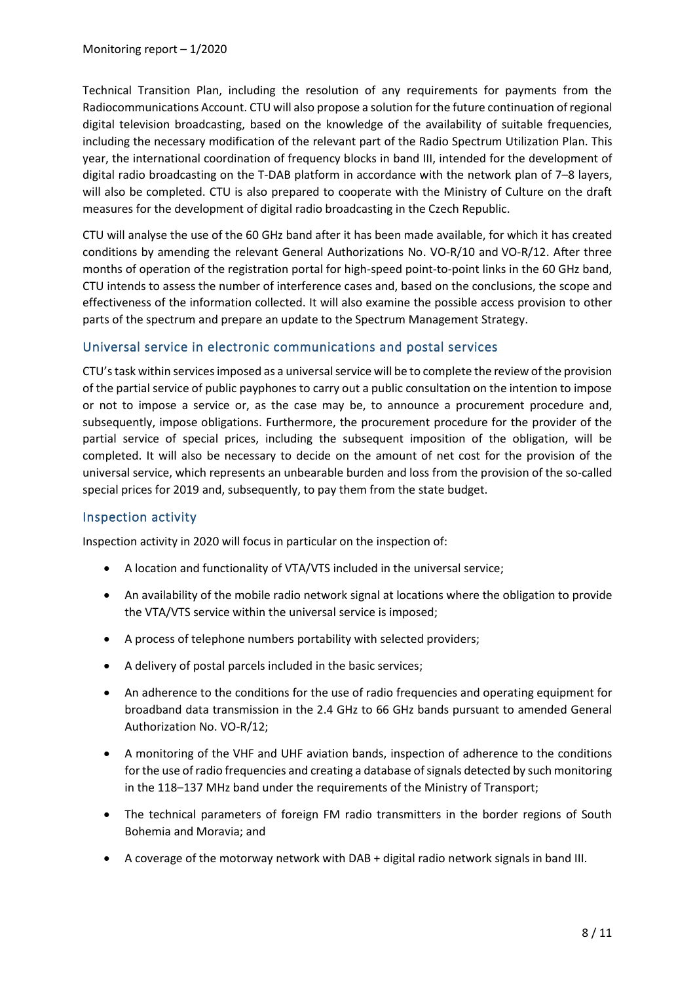Technical Transition Plan, including the resolution of any requirements for payments from the Radiocommunications Account. CTU will also propose a solution for the future continuation of regional digital television broadcasting, based on the knowledge of the availability of suitable frequencies, including the necessary modification of the relevant part of the Radio Spectrum Utilization Plan. This year, the international coordination of frequency blocks in band III, intended for the development of digital radio broadcasting on the T-DAB platform in accordance with the network plan of 7–8 layers, will also be completed. CTU is also prepared to cooperate with the Ministry of Culture on the draft measures for the development of digital radio broadcasting in the Czech Republic.

CTU will analyse the use of the 60 GHz band after it has been made available, for which it has created conditions by amending the relevant General Authorizations No. VO-R/10 and VO-R/12. After three months of operation of the registration portal for high-speed point-to-point links in the 60 GHz band, CTU intends to assess the number of interference cases and, based on the conclusions, the scope and effectiveness of the information collected. It will also examine the possible access provision to other parts of the spectrum and prepare an update to the Spectrum Management Strategy.

### Universal service in electronic communications and postal services

CTU'stask within services imposed as a universal service will be to complete the review of the provision of the partial service of public payphones to carry out a public consultation on the intention to impose or not to impose a service or, as the case may be, to announce a procurement procedure and, subsequently, impose obligations. Furthermore, the procurement procedure for the provider of the partial service of special prices, including the subsequent imposition of the obligation, will be completed. It will also be necessary to decide on the amount of net cost for the provision of the universal service, which represents an unbearable burden and loss from the provision of the so-called special prices for 2019 and, subsequently, to pay them from the state budget.

### Inspection activity

Inspection activity in 2020 will focus in particular on the inspection of:

- A location and functionality of VTA/VTS included in the universal service;
- An availability of the mobile radio network signal at locations where the obligation to provide the VTA/VTS service within the universal service is imposed;
- A process of telephone numbers portability with selected providers;
- A delivery of postal parcels included in the basic services;
- An adherence to the conditions for the use of radio frequencies and operating equipment for broadband data transmission in the 2.4 GHz to 66 GHz bands pursuant to amended General Authorization No. VO-R/12;
- A monitoring of the VHF and UHF aviation bands, inspection of adherence to the conditions for the use ofradio frequencies and creating a database of signals detected by such monitoring in the 118–137 MHz band under the requirements of the Ministry of Transport;
- The technical parameters of foreign FM radio transmitters in the border regions of South Bohemia and Moravia; and
- A coverage of the motorway network with DAB + digital radio network signals in band III.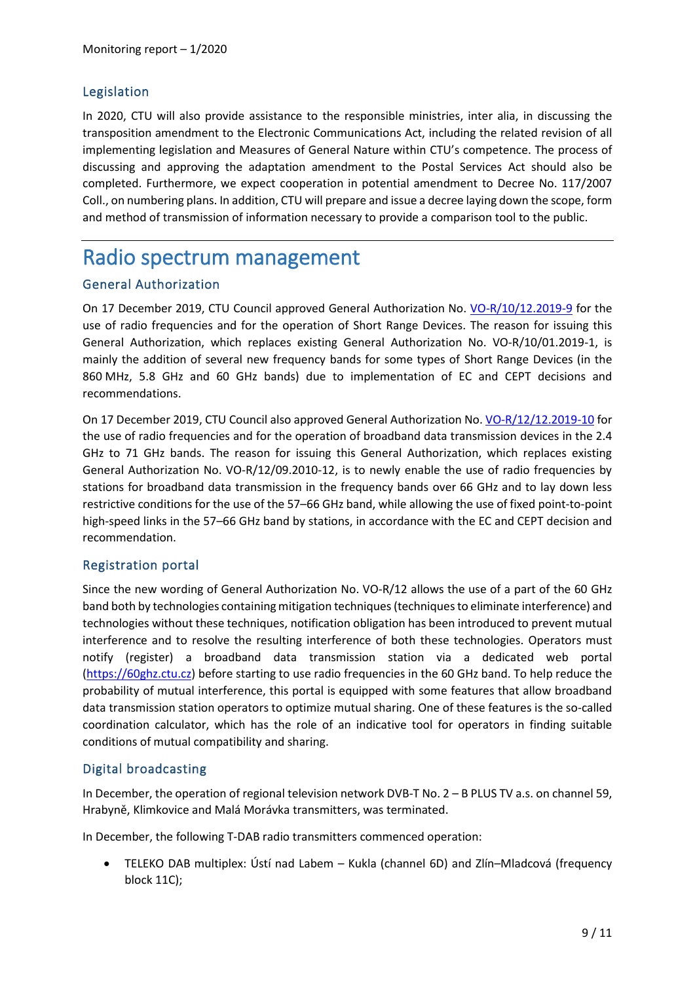### Legislation

In 2020, CTU will also provide assistance to the responsible ministries, inter alia, in discussing the transposition amendment to the Electronic Communications Act, including the related revision of all implementing legislation and Measures of General Nature within CTU's competence. The process of discussing and approving the adaptation amendment to the Postal Services Act should also be completed. Furthermore, we expect cooperation in potential amendment to Decree No. 117/2007 Coll., on numbering plans. In addition, CTU will prepare and issue a decree laying down the scope, form and method of transmission of information necessary to provide a comparison tool to the public.

## Radio spectrum management

### General Authorization

On 17 December 2019, CTU Council approved General Authorization No. [VO-R/10/12.2019-9](https://www.ctu.eu/sites/default/files/obsah/ctu/vseobecne-opravneni-c.vo-r/10/12.2019-9/obrazky/vo-r10-122019-9_en.pdf) for the use of radio frequencies and for the operation of Short Range Devices. The reason for issuing this General Authorization, which replaces existing General Authorization No. VO-R/10/01.2019-1, is mainly the addition of several new frequency bands for some types of Short Range Devices (in the 860 MHz, 5.8 GHz and 60 GHz bands) due to implementation of EC and CEPT decisions and recommendations.

On 17 December 2019, CTU Council also approved General Authorization No. [VO-R/12/12.2019-10](https://www.ctu.eu/sites/default/files/obsah/ctu/general-authorisation-no.vo-r/12/12.2019-10/obrazky/vo-r-12-122019-10en.pdf) for the use of radio frequencies and for the operation of broadband data transmission devices in the 2.4 GHz to 71 GHz bands. The reason for issuing this General Authorization, which replaces existing General Authorization No. VO-R/12/09.2010-12, is to newly enable the use of radio frequencies by stations for broadband data transmission in the frequency bands over 66 GHz and to lay down less restrictive conditions for the use of the 57–66 GHz band, while allowing the use of fixed point-to-point high-speed links in the 57–66 GHz band by stations, in accordance with the EC and CEPT decision and recommendation.

#### Registration portal

Since the new wording of General Authorization No. VO-R/12 allows the use of a part of the 60 GHz band both by technologies containing mitigation techniques (techniques to eliminate interference) and technologies without these techniques, notification obligation has been introduced to prevent mutual interference and to resolve the resulting interference of both these technologies. Operators must notify (register) a broadband data transmission station via a dedicated web portal [\(https://60ghz.ctu.cz\)](https://60ghz.ctu.cz/) before starting to use radio frequencies in the 60 GHz band. To help reduce the probability of mutual interference, this portal is equipped with some features that allow broadband data transmission station operators to optimize mutual sharing. One of these features is the so-called coordination calculator, which has the role of an indicative tool for operators in finding suitable conditions of mutual compatibility and sharing.

#### Digital broadcasting

In December, the operation of regional television network DVB-T No. 2 – B PLUS TV a.s. on channel 59, Hrabyně, Klimkovice and Malá Morávka transmitters, was terminated.

In December, the following T-DAB radio transmitters commenced operation:

• TELEKO DAB multiplex: Ústí nad Labem – Kukla (channel 6D) and Zlín–Mladcová (frequency block 11C);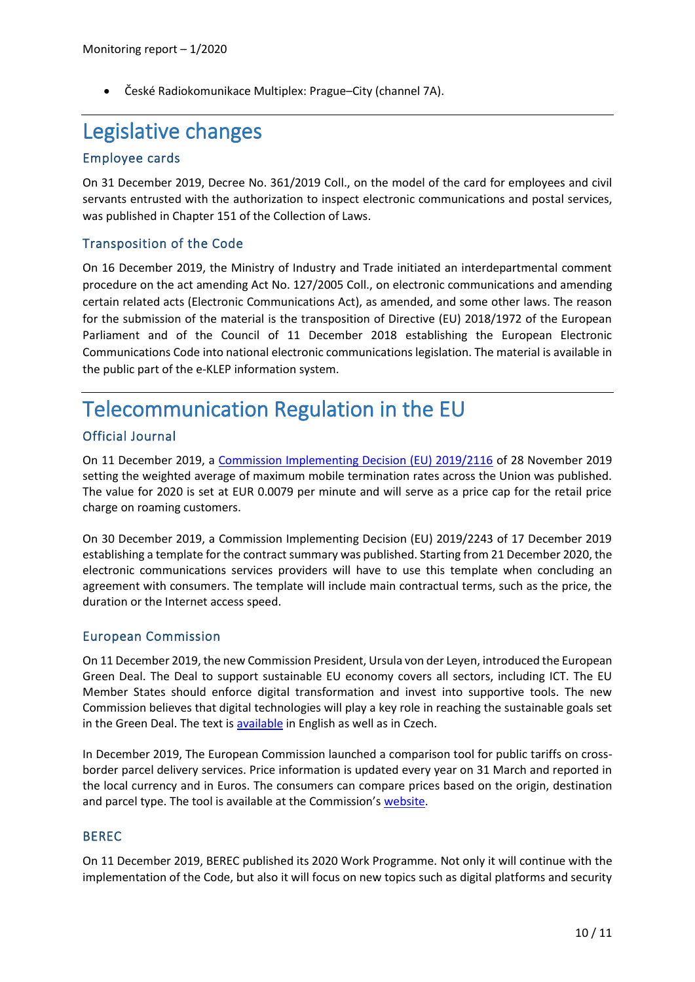• České Radiokomunikace Multiplex: Prague–City (channel 7A).

# Legislative changes

#### Employee cards

On 31 December 2019, Decree No. 361/2019 Coll., on the model of the card for employees and civil servants entrusted with the authorization to inspect electronic communications and postal services, was published in Chapter 151 of the Collection of Laws.

#### Transposition of the Code

On 16 December 2019, the Ministry of Industry and Trade initiated an interdepartmental comment procedure on the act amending Act No. 127/2005 Coll., on electronic communications and amending certain related acts (Electronic Communications Act), as amended, and some other laws. The reason for the submission of the material is the transposition of Directive (EU) 2018/1972 of the European Parliament and of the Council of 11 December 2018 establishing the European Electronic Communications Code into national electronic communications legislation. The material is available in the public part of the e-KLEP information system.

# Telecommunication Regulation in the EU

### Official Journal

On 11 December 2019, a [Commission Implementing Decision \(EU\) 2019/2116](https://eur-lex.europa.eu/legal-content/EN/TXT/PDF/?uri=CELEX:32019R2116&from=EN) of 28 November 2019 setting the weighted average of maximum mobile termination rates across the Union was published. The value for 2020 is set at EUR 0.0079 per minute and will serve as a price cap for the retail price charge on roaming customers.

On 30 December 2019, a Commission Implementing Decision (EU) 2019/2243 of 17 December 2019 establishing a template for the contract summary was published. Starting from 21 December 2020, the electronic communications services providers will have to use this template when concluding an agreement with consumers. The template will include main contractual terms, such as the price, the duration or the Internet access speed.

#### European Commission

On 11 December 2019, the new Commission President, Ursula von der Leyen, introduced the European Green Deal. The Deal to support sustainable EU economy covers all sectors, including ICT. The EU Member States should enforce digital transformation and invest into supportive tools. The new Commission believes that digital technologies will play a key role in reaching the sustainable goals set in the Green Deal. The text is [available](https://ec.europa.eu/commission/presscorner/detail/en/IP_19_6691) in English as well as in Czech.

In December 2019, The European Commission launched a comparison tool for public tariffs on crossborder parcel delivery services. Price information is updated every year on 31 March and reported in the local currency and in Euros. The consumers can compare prices based on the origin, destination and parcel type. The tool is available at the Commission's [website.](https://ec.europa.eu/growth/sectors/postal-services/parcel-delivery/public-tariffs-cross-border_en)

#### BEREC

On 11 December 2019, BEREC published its 2020 Work Programme. Not only it will continue with the implementation of the Code, but also it will focus on new topics such as digital platforms and security